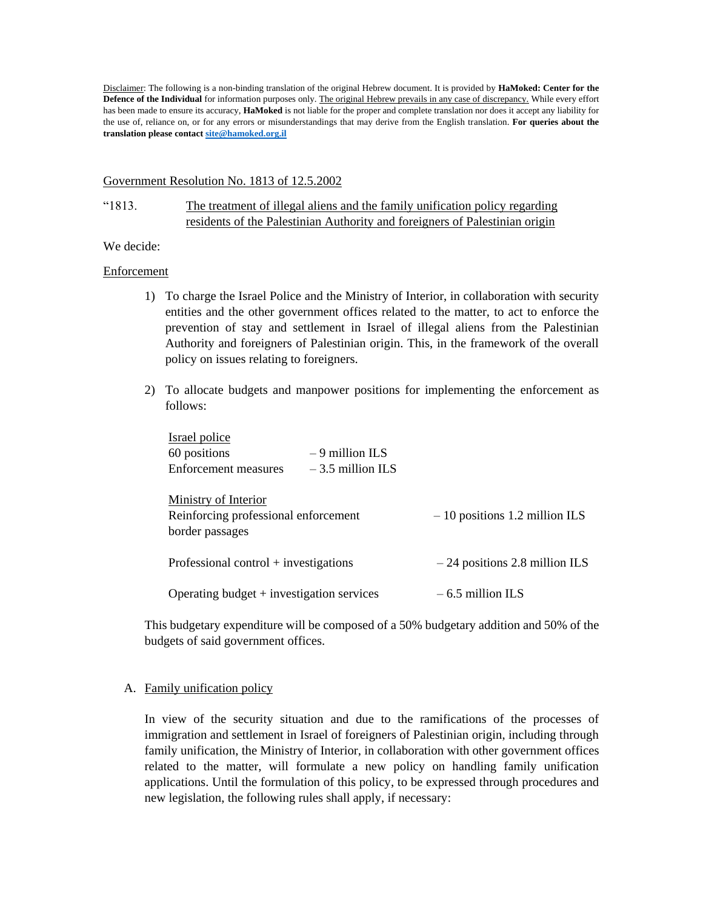Disclaimer: The following is a non-binding translation of the original Hebrew document. It is provided by **HaMoked: Center for the Defence of the Individual** for information purposes only. The original Hebrew prevails in any case of discrepancy. While every effort has been made to ensure its accuracy, **HaMoked** is not liable for the proper and complete translation nor does it accept any liability for the use of, reliance on, or for any errors or misunderstandings that may derive from the English translation. **For queries about the translation please contac[t site@hamoked.org.il](mailto:site@hamoked.org.il)**

#### Government Resolution No. 1813 of 12.5.2002

## "1813. The treatment of illegal aliens and the family unification policy regarding residents of the Palestinian Authority and foreigners of Palestinian origin

### We decide:

### Enforcement

- 1) To charge the Israel Police and the Ministry of Interior, in collaboration with security entities and the other government offices related to the matter, to act to enforce the prevention of stay and settlement in Israel of illegal aliens from the Palestinian Authority and foreigners of Palestinian origin. This, in the framework of the overall policy on issues relating to foreigners.
- 2) To allocate budgets and manpower positions for implementing the enforcement as follows:

| Israel police                               |                    |                                 |
|---------------------------------------------|--------------------|---------------------------------|
| 60 positions                                | $-9$ million ILS   |                                 |
| Enforcement measures                        | $-3.5$ million ILS |                                 |
|                                             |                    |                                 |
| Ministry of Interior                        |                    |                                 |
| Reinforcing professional enforcement        |                    | $-10$ positions 1.2 million ILS |
| border passages                             |                    |                                 |
|                                             |                    |                                 |
| Professional control $+$ investigations     |                    | $-24$ positions 2.8 million ILS |
|                                             |                    |                                 |
| Operating budget $+$ investigation services |                    | $-6.5$ million ILS              |

This budgetary expenditure will be composed of a 50% budgetary addition and 50% of the budgets of said government offices.

### A. Family unification policy

In view of the security situation and due to the ramifications of the processes of immigration and settlement in Israel of foreigners of Palestinian origin, including through family unification, the Ministry of Interior, in collaboration with other government offices related to the matter, will formulate a new policy on handling family unification applications. Until the formulation of this policy, to be expressed through procedures and new legislation, the following rules shall apply, if necessary: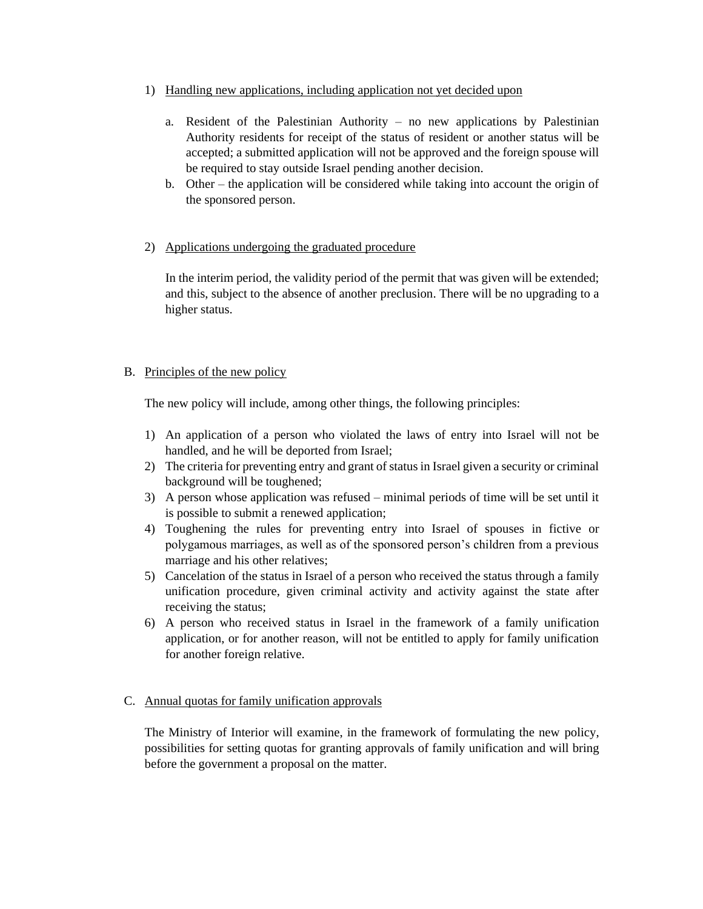- 1) Handling new applications, including application not yet decided upon
	- a. Resident of the Palestinian Authority no new applications by Palestinian Authority residents for receipt of the status of resident or another status will be accepted; a submitted application will not be approved and the foreign spouse will be required to stay outside Israel pending another decision.
	- b. Other the application will be considered while taking into account the origin of the sponsored person.

## 2) Applications undergoing the graduated procedure

In the interim period, the validity period of the permit that was given will be extended; and this, subject to the absence of another preclusion. There will be no upgrading to a higher status.

## B. Principles of the new policy

The new policy will include, among other things, the following principles:

- 1) An application of a person who violated the laws of entry into Israel will not be handled, and he will be deported from Israel;
- 2) The criteria for preventing entry and grant of status in Israel given a security or criminal background will be toughened;
- 3) A person whose application was refused minimal periods of time will be set until it is possible to submit a renewed application;
- 4) Toughening the rules for preventing entry into Israel of spouses in fictive or polygamous marriages, as well as of the sponsored person's children from a previous marriage and his other relatives;
- 5) Cancelation of the status in Israel of a person who received the status through a family unification procedure, given criminal activity and activity against the state after receiving the status;
- 6) A person who received status in Israel in the framework of a family unification application, or for another reason, will not be entitled to apply for family unification for another foreign relative.

# C. Annual quotas for family unification approvals

The Ministry of Interior will examine, in the framework of formulating the new policy, possibilities for setting quotas for granting approvals of family unification and will bring before the government a proposal on the matter.